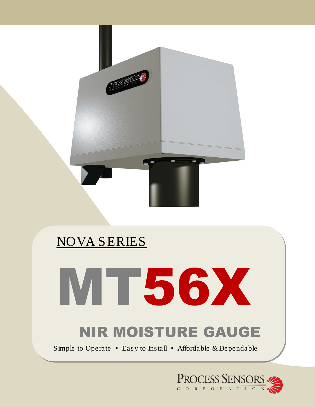

# NOVA SERIES



# NIR MOISTURE GAUGE

Simple to Operate • Easy to Install • Affordable & Dependable

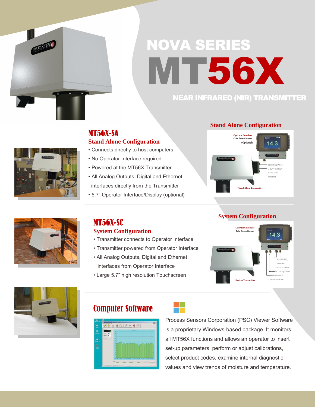

# NOVA SERIES **MT56X**

## NEAR INFRARED (NIR) TRANSMITTER



## MT56X-SA **Stand Alone Configuration**

- Connects directly to host computers
- No Operator Interface required
- Powered at the MT56X Transmitter
- All Analog Outputs, Digital and Ethernet interfaces directly from the Transmitter
- 5.7" Operator Interface/Display (optional)

## **Stand Alone Configuration**



#### **System Configuration**





## MT56X-SC **System Configuration**

- Transmitter connects to Operator Interface
- Transmitter powered from Operator Interface
- All Analog Outputs, Digital and Ethernet interfaces from Operator Interface
- Large 5.7" high resolution Touchscreen



## Computer Software



Process Sensors Corporation (PSC) Viewer Software is a proprietary Windows-based package. It monitors all MT56X functions and allows an operator to insert set-up parameters, perform or adjust calibrations, select product codes, examine internal diagnostic values and view trends of moisture and temperature.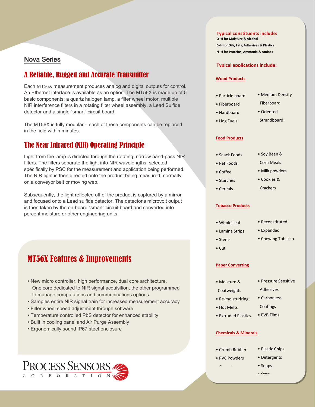#### Nova Series

### A Reliable, Rugged and Accurate Transmitter

Each MT56X measurement produces analog and digital outputs for control. An Ethernet interface is available as an option. The MT56X is made up of 5 basic components: a quartz halogen lamp, a filter wheel motor, multiple NIR interference filters in a rotating filter wheel assembly, a Lead Sulfide detector and a single "smart" circuit board.

The MT56X is fully modular – each of these components can be replaced in the field within minutes.

### The Near Infrared (NIR) Operating Principle

Light from the lamp is directed through the rotating, narrow band-pass NIR filters. The filters separate the light into NIR wavelengths, selected specifically by PSC for the measurement and application being performed. The NIR light is then directed onto the product being measured, normally on a conveyor belt or moving web.

Subsequently, the light reflected off of the product is captured by a mirror and focused onto a Lead sulfide detector. The detector's microvolt output is then taken by the on-board "smart" circuit board and converted into percent moisture or other engineering units.

## MT56X Features & Improvements

- New micro controller, high performance, dual core architecture. One core dedicated to NIR signal acquisition, the other programmed to manage computations and communications options
- Samples entire NIR signal train for increased measurement accuracy
- Filter wheel speed adjustment through software
- Temperature controlled PbS detector for enhanced stability
- Built in cooling panel and Air Purge Assembly
- Ergonomically sound IP67 steel enclosure

**O–H for Moisture & Alcohol C–H for Oils, Fats, Adhesives & Plastics N–H for Proteins, Ammonia & Amines**

**Typical constituents include:**

#### **Typical applications include:**

#### **Wood Products**

- Particle board
- Fiberboard
- Hardboard
- Hog Fuels
- Medium Density
- Oriented Strandboard

Fiberboard

#### **Food Products**

- Snack Foods
- Pet Foods
- Coffee
- Starches
- Cereals
- Soy Bean &
- Corn Meals
- Milk powders
- Cookies & **Crackers**

#### **Tobacco Products**

• Reconstituted

• Chewing Tobacco

• Pressure Sensitive

 Adhesives • Carbonless

• PVB Films

- Expanded
- Stems
- Cut

#### **Paper Converting**

• Moisture &

#### Coatweights

• Re-moisturizing

• Hot Melts

- Coatings
- Extruded Plastics
- **Chemicals & Minerals**
- Crumb Rubber • PVC Powders

• Ceramics

- Plastic Chips
- Detergents
- Soaps
- $\sim$  Ores



- Whole Leaf
- Lamina Strips